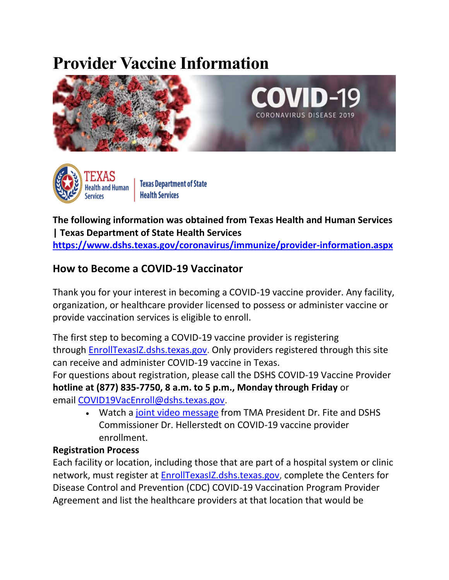# **Provider Vaccine Information**





**Texas Department of State Health Services** 

**The following information was obtained from Texas Health and Human Services | Texas Department of State Health Services** 

**<https://www.dshs.texas.gov/coronavirus/immunize/provider-information.aspx>**

## **How to Become a COVID-19 Vaccinator**

Thank you for your interest in becoming a COVID-19 vaccine provider. Any facility, organization, or healthcare provider licensed to possess or administer vaccine or provide vaccination services is eligible to enroll.

The first step to becoming a COVID-19 vaccine provider is registering through [EnrollTexasIZ.dshs.texas.gov.](https://enrolltexasiz.dshs.texas.gov/emrlogin.asp) Only providers registered through this site can receive and administer COVID-19 vaccine in Texas.

For questions about registration, please call the DSHS COVID-19 Vaccine Provider **hotline at (877) 835-7750, 8 a.m. to 5 p.m., Monday through Friday** or email [COVID19VacEnroll@dshs.texas.gov.](mailto:COVID19VacEnroll@dshs.texas.gov)

• Watch a joint video [message](https://youtu.be/wbGYQxjImBM) from TMA President Dr. Fite and DSHS Commissioner Dr. Hellerstedt on COVID-19 vaccine provider enrollment.

### **Registration Process**

Each facility or location, including those that are part of a hospital system or clinic network, must register at [EnrollTexasIZ.dshs.texas.gov,](https://enrolltexasiz.dshs.texas.gov/emrlogin.asp) complete the Centers for Disease Control and Prevention (CDC) COVID-19 Vaccination Program Provider Agreement and list the healthcare providers at that location that would be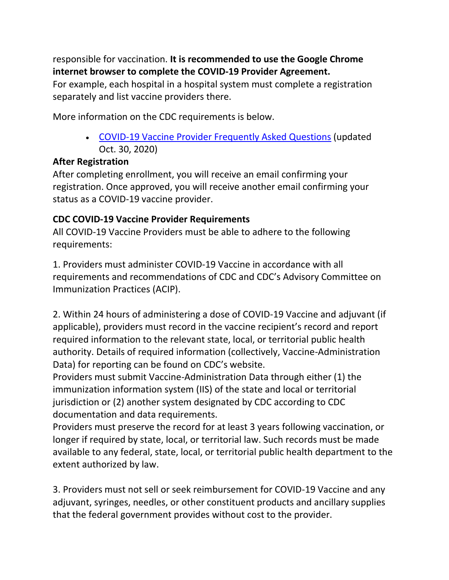responsible for vaccination. **It is recommended to use the Google Chrome internet browser to complete the COVID-19 Provider Agreement.**

For example, each hospital in a hospital system must complete a registration separately and list vaccine providers there.

More information on the CDC requirements is below.

• COVID-19 Vaccine Provider [Frequently](https://www.dshs.texas.gov/immunize/covid19/COVIDproviderfaq.pdf) Asked Questions (updated Oct. 30, 2020)

#### **After Registration**

After completing enrollment, you will receive an email confirming your registration. Once approved, you will receive another email confirming your status as a COVID-19 vaccine provider.

#### **CDC COVID-19 Vaccine Provider Requirements**

All COVID-19 Vaccine Providers must be able to adhere to the following requirements:

1. Providers must administer COVID-19 Vaccine in accordance with all requirements and recommendations of CDC and CDC's Advisory Committee on Immunization Practices (ACIP).

2. Within 24 hours of administering a dose of COVID-19 Vaccine and adjuvant (if applicable), providers must record in the vaccine recipient's record and report required information to the relevant state, local, or territorial public health authority. Details of required information (collectively, Vaccine-Administration Data) for reporting can be found on CDC's website.

Providers must submit Vaccine-Administration Data through either (1) the immunization information system (IIS) of the state and local or territorial jurisdiction or (2) another system designated by CDC according to CDC documentation and data requirements.

Providers must preserve the record for at least 3 years following vaccination, or longer if required by state, local, or territorial law. Such records must be made available to any federal, state, local, or territorial public health department to the extent authorized by law.

3. Providers must not sell or seek reimbursement for COVID-19 Vaccine and any adjuvant, syringes, needles, or other constituent products and ancillary supplies that the federal government provides without cost to the provider.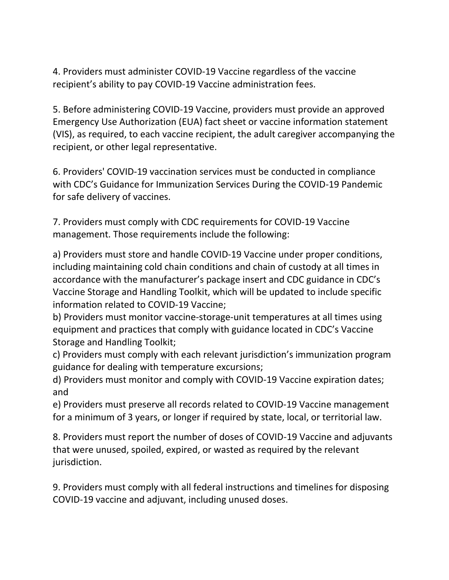4. Providers must administer COVID-19 Vaccine regardless of the vaccine recipient's ability to pay COVID-19 Vaccine administration fees.

5. Before administering COVID-19 Vaccine, providers must provide an approved Emergency Use Authorization (EUA) fact sheet or vaccine information statement (VIS), as required, to each vaccine recipient, the adult caregiver accompanying the recipient, or other legal representative.

6. Providers' COVID-19 vaccination services must be conducted in compliance with CDC's Guidance for Immunization Services During the COVID-19 Pandemic for safe delivery of vaccines.

7. Providers must comply with CDC requirements for COVID-19 Vaccine management. Those requirements include the following:

a) Providers must store and handle COVID-19 Vaccine under proper conditions, including maintaining cold chain conditions and chain of custody at all times in accordance with the manufacturer's package insert and CDC guidance in CDC's Vaccine Storage and Handling Toolkit, which will be updated to include specific information related to COVID-19 Vaccine;

b) Providers must monitor vaccine-storage-unit temperatures at all times using equipment and practices that comply with guidance located in CDC's Vaccine Storage and Handling Toolkit;

c) Providers must comply with each relevant jurisdiction's immunization program guidance for dealing with temperature excursions;

d) Providers must monitor and comply with COVID-19 Vaccine expiration dates; and

e) Providers must preserve all records related to COVID-19 Vaccine management for a minimum of 3 years, or longer if required by state, local, or territorial law.

8. Providers must report the number of doses of COVID-19 Vaccine and adjuvants that were unused, spoiled, expired, or wasted as required by the relevant jurisdiction.

9. Providers must comply with all federal instructions and timelines for disposing COVID-19 vaccine and adjuvant, including unused doses.